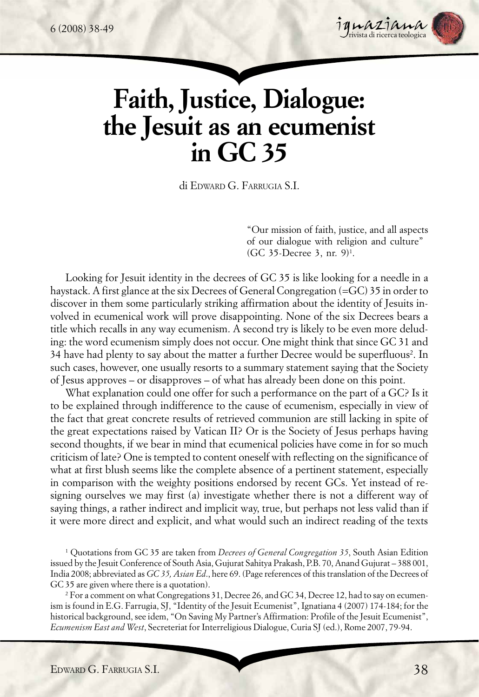

# **Faith, Justice, Dialogue: the Jesuit as an ecumenist in GC 35**

di EDWARD G. FARRUGIA S.I.

"Our mission of faith, justice, and all aspects of our dialogue with religion and culture"  $(GC 35\text{-}Decre 3, \text{nr. } 9)^1$ .

Looking for Jesuit identity in the decrees of GC 35 is like looking for a needle in a haystack. A first glance at the six Decrees of General Congregation (=GC) 35 in order to discover in them some particularly striking affirmation about the identity of Jesuits involved in ecumenical work will prove disappointing. None of the six Decrees bears a title which recalls in any way ecumenism. A second try is likely to be even more deluding: the word ecumenism simply does not occur. One might think that since GC 31 and 34 have had plenty to say about the matter a further Decree would be superfluous<sup>2</sup>. In such cases, however, one usually resorts to a summary statement saying that the Society of Jesus approves – or disapproves – of what has already been done on this point.

What explanation could one offer for such a performance on the part of a GC? Is it to be explained through indifference to the cause of ecumenism, especially in view of the fact that great concrete results of retrieved communion are still lacking in spite of the great expectations raised by Vatican II? Or is the Society of Jesus perhaps having second thoughts, if we bear in mind that ecumenical policies have come in for so much criticism of late? One is tempted to content oneself with reflecting on the significance of what at first blush seems like the complete absence of a pertinent statement, especially in comparison with the weighty positions endorsed by recent GCs. Yet instead of resigning ourselves we may first (a) investigate whether there is not a different way of saying things, a rather indirect and implicit way, true, but perhaps not less valid than if it were more direct and explicit, and what would such an indirect reading of the texts

1 Quotations from GC 35 are taken from *Decrees of General Congregation 35*, South Asian Edition issued by the Jesuit Conference of South Asia, Gujurat Sahitya Prakash, P.B. 70, Anand Gujurat – 388 001, India 2008; abbreviated as *GC 35, Asian Ed*., here 69. (Page references of this translation of the Decrees of GC 35 are given where there is a quotation).

2 For a comment on what Congregations 31, Decree 26, and GC 34, Decree 12, had to say on ecumenism is found in E.G. Farrugia, SJ, "Identity of the Jesuit Ecumenist", Ignatiana 4 (2007) 174-184; for the historical background, see idem, "On Saving My Partner's Affirmation: Profile of the Jesuit Ecumenist", *Ecumenism East and West*, Secreteriat for Interreligious Dialogue, Curia SJ (ed.), Rome 2007, 79-94.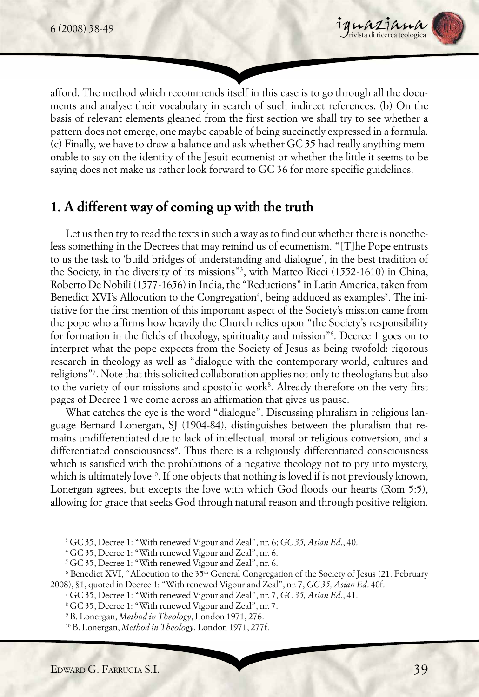

afford. The method which recommends itself in this case is to go through all the documents and analyse their vocabulary in search of such indirect references. (b) On the basis of relevant elements gleaned from the first section we shall try to see whether a pattern does not emerge, one maybe capable of being succinctly expressed in a formula. (c) Finally, we have to draw a balance and ask whether GC 35 had really anything memorable to say on the identity of the Jesuit ecumenist or whether the little it seems to be saying does not make us rather look forward to GC 36 for more specific guidelines.

## **1. A different way of coming up with the truth**

Let us then try to read the texts in such a way as to find out whether there is nonetheless something in the Decrees that may remind us of ecumenism. "[T]he Pope entrusts to us the task to 'build bridges of understanding and dialogue', in the best tradition of the Society, in the diversity of its missions"3 , with Matteo Ricci (1552-1610) in China, Roberto De Nobili (1577-1656) in India, the "Reductions" in Latin America, taken from Benedict XVI's Allocution to the Congregation<sup>4</sup>, being adduced as examples<sup>5</sup>. The initiative for the first mention of this important aspect of the Society's mission came from the pope who affirms how heavily the Church relies upon "the Society's responsibility for formation in the fields of theology, spirituality and mission"6 . Decree 1 goes on to interpret what the pope expects from the Society of Jesus as being twofold: rigorous research in theology as well as "dialogue with the contemporary world, cultures and religions"7 . Note that this solicited collaboration applies not only to theologians but also to the variety of our missions and apostolic work $^{\rm 8}$ . Already therefore on the very first pages of Decree 1 we come across an affirmation that gives us pause.

What catches the eye is the word "dialogue". Discussing pluralism in religious language Bernard Lonergan, SJ (1904-84), distinguishes between the pluralism that remains undifferentiated due to lack of intellectual, moral or religious conversion, and a differentiated consciousness<sup>9</sup>. Thus there is a religiously differentiated consciousness which is satisfied with the prohibitions of a negative theology not to pry into mystery, which is ultimately love<sup>10</sup>. If one objects that nothing is loved if is not previously known, Lonergan agrees, but excepts the love with which God floods our hearts (Rom 5:5), allowing for grace that seeks God through natural reason and through positive religion.

3 GC 35, Decree 1: "With renewed Vigour and Zeal", nr. 6; *GC 35, Asian Ed*., 40.

4 GC 35, Decree 1: "With renewed Vigour and Zeal", nr. 6.

<sup>5</sup> GC 35, Decree 1: "With renewed Vigour and Zeal", nr. 6.

 $^6$  Benedict XVI, "Allocution to the 35<sup>th</sup> General Congregation of the Society of Jesus (21. February 2008), §1, quoted in Decree 1: "With renewed Vigour and Zeal", nr. 7, *GC 35, Asian Ed*. 40f.

7 GC 35, Decree 1: "With renewed Vigour and Zeal", nr. 7, *GC 35, Asian Ed*., 41.

8 GC 35, Decree 1: "With renewed Vigour and Zeal", nr. 7.

10 B. Lonergan, *Method in Theology*, London 1971, 277f.

<sup>9</sup> B. Lonergan, *Method in Theology*, London 1971, 276.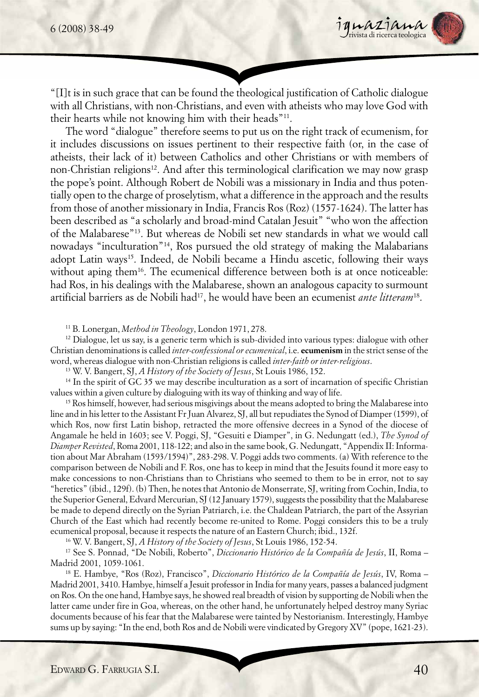

"[I]t is in such grace that can be found the theological justification of Catholic dialogue with all Christians, with non-Christians, and even with atheists who may love God with their hearts while not knowing him with their heads"11.

The word "dialogue" therefore seems to put us on the right track of ecumenism, for it includes discussions on issues pertinent to their respective faith (or, in the case of atheists, their lack of it) between Catholics and other Christians or with members of non-Christian religions<sup>12</sup>. And after this terminological clarification we may now grasp the pope's point. Although Robert de Nobili was a missionary in India and thus potentially open to the charge of proselytism, what a difference in the approach and the results from those of another missionary in India, Francis Ros (Roz) (1557-1624). The latter has been described as "a scholarly and broad-mind Catalan Jesuit" "who won the affection of the Malabarese"13. But whereas de Nobili set new standards in what we would call nowadays "inculturation"14, Ros pursued the old strategy of making the Malabarians adopt Latin ways<sup>15</sup>. Indeed, de Nobili became a Hindu ascetic, following their ways without aping them<sup>16</sup>. The ecumenical difference between both is at once noticeable: had Ros, in his dealings with the Malabarese, shown an analogous capacity to surmount artificial barriers as de Nobili had17, he would have been an ecumenist *ante litteram*18.

11 B. Lonergan, *Method in Theology*, London 1971, 278.

 $12$  Dialogue, let us say, is a generic term which is sub-divided into various types: dialogue with other Christian denominations is called *inter-confessional or ecumenical*, i.e. **ecumenism** in the strict sense of the word, whereas dialogue with non-Christian religions is called *inter-faith or inter-religious*.

13 W. V. Bangert, SJ, *A History of the Society of Jesus*, St Louis 1986, 152.

<sup>14</sup> In the spirit of GC 35 we may describe inculturation as a sort of incarnation of specific Christian values within a given culture by dialoguing with its way of thinking and way of life.

<sup>15</sup> Ros himself, however, had serious misgivings about the means adopted to bring the Malabarese into line and in his letter to the Assistant Fr Juan Alvarez, SJ, all but repudiates the Synod of Diamper (1599), of which Ros, now first Latin bishop, retracted the more offensive decrees in a Synod of the diocese of Angamale he held in 1603; see V. Poggi, SJ, "Gesuiti e Diamper", in G. Nedungatt (ed.), *The Synod of Diamper Revisted*, Roma 2001, 118-122; and also in the same book, G. Nedungatt, "Appendix II: Information about Mar Abraham (1593/1594)", 283-298. V. Poggi adds two comments. (a) With reference to the comparison between de Nobili and F. Ros, one has to keep in mind that the Jesuits found it more easy to make concessions to non-Christians than to Christians who seemed to them to be in error, not to say "heretics" (ibid., 129f). (b) Then, he notes that Antonio de Monserrate, SJ, writing from Cochin, India, to the Superior General, Edvard Mercurian, SJ (12 January 1579), suggests the possibility that the Malabarese be made to depend directly on the Syrian Patriarch, i.e. the Chaldean Patriarch, the part of the Assyrian Church of the East which had recently become re-united to Rome. Poggi considers this to be a truly ecumenical proposal, because it respects the nature of an Eastern Church; ibid., 132f.

16 W. V. Bangert, SJ, *A History of the Society of Jesus*, St Louis 1986, 152-54.

17 See S. Ponnad, "De Nobili, Roberto", *Diccionario Histórico de la Compañía de Jesús*, II, Roma – Madrid 2001, 1059-1061.

18 E. Hambye, "Ros (Roz), Francisco", *Diccionario Histórico de la Compañía de Jesús*, IV, Roma – Madrid 2001, 3410. Hambye, himself a Jesuit professor in India for many years, passes a balanced judgment on Ros. On the one hand, Hambye says, he showed real breadth of vision by supporting de Nobili when the latter came under fire in Goa, whereas, on the other hand, he unfortunately helped destroy many Syriac documents because of his fear that the Malabarese were tainted by Nestorianism. Interestingly, Hambye sums up by saying: "In the end, both Ros and de Nobili were vindicated by Gregory XV" (pope, 1621-23).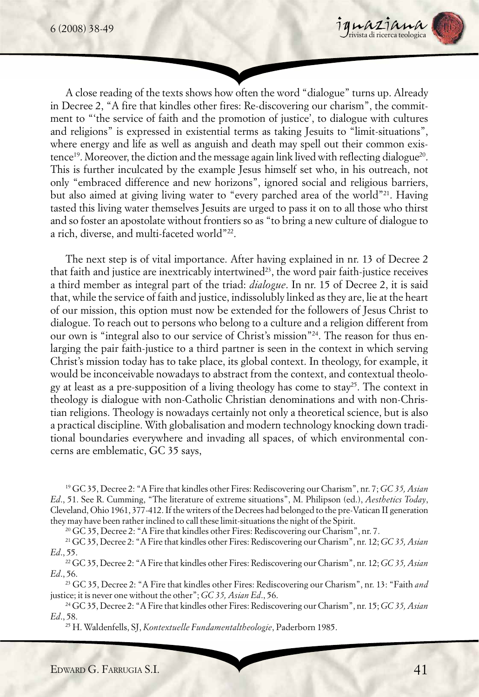

A close reading of the texts shows how often the word "dialogue" turns up. Already in Decree 2, "A fire that kindles other fires: Re-discovering our charism", the commitment to "'the service of faith and the promotion of justice', to dialogue with cultures and religions" is expressed in existential terms as taking Jesuits to "limit-situations", where energy and life as well as anguish and death may spell out their common existence<sup>19</sup>. Moreover, the diction and the message again link lived with reflecting dialogue<sup>20</sup>. This is further inculcated by the example Jesus himself set who, in his outreach, not only "embraced difference and new horizons", ignored social and religious barriers, but also aimed at giving living water to "every parched area of the world"21. Having tasted this living water themselves Jesuits are urged to pass it on to all those who thirst and so foster an apostolate without frontiers so as "to bring a new culture of dialogue to a rich, diverse, and multi-faceted world"22.

The next step is of vital importance. After having explained in nr. 13 of Decree 2 that faith and justice are inextricably intertwined<sup>23</sup>, the word pair faith-justice receives a third member as integral part of the triad: *dialogue*. In nr. 15 of Decree 2, it is said that, while the service of faith and justice, indissolubly linked as they are, lie at the heart of our mission, this option must now be extended for the followers of Jesus Christ to dialogue. To reach out to persons who belong to a culture and a religion different from our own is "integral also to our service of Christ's mission"24. The reason for thus enlarging the pair faith-justice to a third partner is seen in the context in which serving Christ's mission today has to take place, its global context. In theology, for example, it would be inconceivable nowadays to abstract from the context, and contextual theology at least as a pre-supposition of a living theology has come to stay<sup>25</sup>. The context in theology is dialogue with non-Catholic Christian denominations and with non-Christian religions. Theology is nowadays certainly not only a theoretical science, but is also a practical discipline. With globalisation and modern technology knocking down traditional boundaries everywhere and invading all spaces, of which environmental concerns are emblematic, GC 35 says,

19 GC 35, Decree 2: "A Fire that kindles other Fires: Rediscovering our Charism", nr. 7; *GC 35, Asian Ed*., 51. See R. Cumming, "The literature of extreme situations", M. Philipson (ed.), *Aesthetics Today*, Cleveland, Ohio 1961, 377-412. If the writers of the Decrees had belonged to the pre-Vatican II generation they may have been rather inclined to call these limit-situations the night of the Spirit.

<sup>20</sup> GC 35, Decree 2: "A Fire that kindles other Fires: Rediscovering our Charism", nr. 7.

21 GC 35, Decree 2: "A Fire that kindles other Fires: Rediscovering our Charism", nr. 12; *GC 35, Asian Ed*., 55.

22 GC 35, Decree 2: "A Fire that kindles other Fires: Rediscovering our Charism", nr. 12; *GC 35, Asian Ed*., 56.

23 GC 35, Decree 2: "A Fire that kindles other Fires: Rediscovering our Charism", nr. 13: "Faith *and* justice; it is never one without the other"; *GC 35, Asian Ed*., 56.

24 GC 35, Decree 2: "A Fire that kindles other Fires: Rediscovering our Charism", nr. 15; *GC 35, Asian Ed*., 58.

25 H. Waldenfells, SJ, *Kontextuelle Fundamentaltheologie*, Paderborn 1985.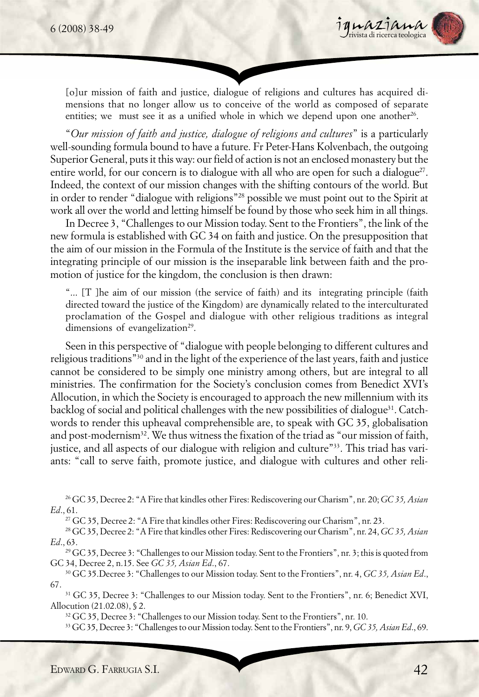

[o]ur mission of faith and justice, dialogue of religions and cultures has acquired dimensions that no longer allow us to conceive of the world as composed of separate entities; we must see it as a unified whole in which we depend upon one another<sup>26</sup>.

"*Our mission of faith and justice, dialogue of religions and cultures*" is a particularly well-sounding formula bound to have a future. Fr Peter-Hans Kolvenbach, the outgoing Superior General, puts it this way: our field of action is not an enclosed monastery but the entire world, for our concern is to dialogue with all who are open for such a dialogue<sup> $27$ </sup>. Indeed, the context of our mission changes with the shifting contours of the world. But in order to render "dialogue with religions"28 possible we must point out to the Spirit at work all over the world and letting himself be found by those who seek him in all things.

In Decree 3, "Challenges to our Mission today. Sent to the Frontiers", the link of the new formula is established with GC 34 on faith and justice. On the presupposition that the aim of our mission in the Formula of the Institute is the service of faith and that the integrating principle of our mission is the inseparable link between faith and the promotion of justice for the kingdom, the conclusion is then drawn:

"... [T ]he aim of our mission (the service of faith) and its integrating principle (faith directed toward the justice of the Kingdom) are dynamically related to the interculturated proclamation of the Gospel and dialogue with other religious traditions as integral dimensions of evangelization<sup>29</sup>.

Seen in this perspective of "dialogue with people belonging to different cultures and religious traditions"30 and in the light of the experience of the last years, faith and justice cannot be considered to be simply one ministry among others, but are integral to all ministries. The confirmation for the Society's conclusion comes from Benedict XVI's Allocution, in which the Society is encouraged to approach the new millennium with its backlog of social and political challenges with the new possibilities of dialogue<sup>31</sup>. Catchwords to render this upheaval comprehensible are, to speak with GC 35, globalisation and post-modernism<sup>32</sup>. We thus witness the fixation of the triad as "our mission of faith, justice, and all aspects of our dialogue with religion and culture"33. This triad has variants: "call to serve faith, promote justice, and dialogue with cultures and other reli-

27 GC 35, Decree 2: "A Fire that kindles other Fires: Rediscovering our Charism", nr. 23.

28 GC 35, Decree 2: "A Fire that kindles other Fires: Rediscovering our Charism", nr. 24, *GC 35, Asian Ed*., 63.

29 GC 35, Decree 3: "Challenges to our Mission today. Sent to the Frontiers", nr. 3; this is quoted from GC 34, Decree 2, n.15. See *GC 35, Asian Ed*., 67.

30 GC 35.Decree 3: "Challenges to our Mission today. Sent to the Frontiers", nr. 4, *GC 35, Asian Ed*., 67.

31 GC 35, Decree 3: "Challenges to our Mission today. Sent to the Frontiers", nr. 6; Benedict XVI, Allocution (21.02.08), § 2.

32 GC 35, Decree 3: "Challenges to our Mission today. Sent to the Frontiers", nr. 10.

33 GC 35, Decree 3: "Challenges to our Mission today. Sent to the Frontiers", nr. 9, *GC 35, Asian Ed*., 69.

<sup>26</sup> GC 35, Decree 2: "A Fire that kindles other Fires: Rediscovering our Charism", nr. 20; *GC 35, Asian Ed*., 61.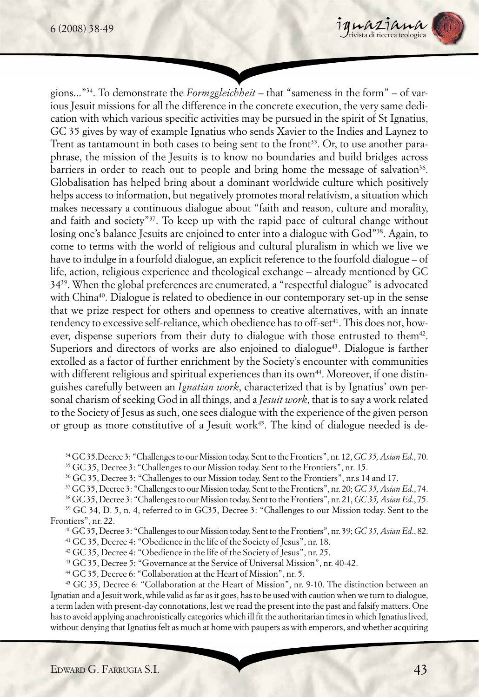

gions..."34. To demonstrate the *Formggleichheit* – that "sameness in the form" – of various Jesuit missions for all the difference in the concrete execution, the very same dedication with which various specific activities may be pursued in the spirit of St Ignatius, GC 35 gives by way of example Ignatius who sends Xavier to the Indies and Laynez to Trent as tantamount in both cases to being sent to the front<sup>35</sup>. Or, to use another paraphrase, the mission of the Jesuits is to know no boundaries and build bridges across barriers in order to reach out to people and bring home the message of salvation<sup>36</sup>. Globalisation has helped bring about a dominant worldwide culture which positively helps access to information, but negatively promotes moral relativism, a situation which makes necessary a continuous dialogue about "faith and reason, culture and morality, and faith and society"37. To keep up with the rapid pace of cultural change without losing one's balance Jesuits are enjoined to enter into a dialogue with God"<sup>38</sup>. Again, to come to terms with the world of religious and cultural pluralism in which we live we have to indulge in a fourfold dialogue, an explicit reference to the fourfold dialogue – of life, action, religious experience and theological exchange – already mentioned by GC 3439. When the global preferences are enumerated, a "respectful dialogue" is advocated with China<sup>40</sup>. Dialogue is related to obedience in our contemporary set-up in the sense that we prize respect for others and openness to creative alternatives, with an innate tendency to excessive self-reliance, which obedience has to off-set<sup>41</sup>. This does not, however, dispense superiors from their duty to dialogue with those entrusted to them<sup>42</sup>. Superiors and directors of works are also enjoined to dialogue $43$ . Dialogue is farther extolled as a factor of further enrichment by the Society's encounter with communities with different religious and spiritual experiences than its own<sup>44</sup>. Moreover, if one distinguishes carefully between an *Ignatian work*, characterized that is by Ignatius' own personal charism of seeking God in all things, and a *Jesuit work*, that is to say a work related to the Society of Jesus as such, one sees dialogue with the experience of the given person or group as more constitutive of a Jesuit work<sup>45</sup>. The kind of dialogue needed is de-

35 GC 35, Decree 3: "Challenges to our Mission today. Sent to the Frontiers", nr. 15.

36 GC 35, Decree 3: "Challenges to our Mission today. Sent to the Frontiers", nr.s 14 and 17.

37 GC 35, Decree 3: "Challenges to our Mission today. Sent to the Frontiers", nr. 20; *GC 35, Asian Ed*., 74.

38 GC 35, Decree 3: "Challenges to our Mission today. Sent to the Frontiers", nr. 21, *GC 35, Asian Ed*., 75.

39 GC 34, D. 5, n. 4, referred to in GC35, Decree 3: "Challenges to our Mission today. Sent to the Frontiers", nr. 22.

40 GC 35, Decree 3: "Challenges to our Mission today. Sent to the Frontiers", nr. 39; *GC 35, Asian Ed*., 82.

41 GC 35, Decree 4: "Obedience in the life of the Society of Jesus", nr. 18.

42 GC 35, Decree 4: "Obedience in the life of the Society of Jesus", nr. 25.

43 GC 35, Decree 5: "Governance at the Service of Universal Mission", nr. 40-42.

44 GC 35, Decree 6: "Collaboration at the Heart of Mission", nr. 5.

45 GC 35, Decree 6: "Collaboration at the Heart of Mission", nr. 9-10. The distinction between an Ignatian and a Jesuit work, while valid as far as it goes, has to be used with caution when we turn to dialogue, a term laden with present-day connotations, lest we read the present into the past and falsify matters. One has to avoid applying anachronistically categories which ill fit the authoritarian times in which Ignatius lived, without denying that Ignatius felt as much at home with paupers as with emperors, and whether acquiring

<sup>34</sup> GC 35.Decree 3: "Challenges to our Mission today. Sent to the Frontiers", nr. 12, *GC 35, Asian Ed*., 70.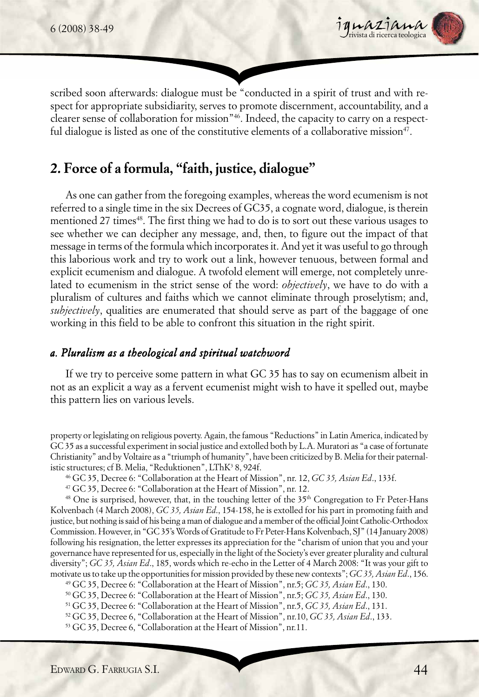

scribed soon afterwards: dialogue must be "conducted in a spirit of trust and with respect for appropriate subsidiarity, serves to promote discernment, accountability, and a clearer sense of collaboration for mission"46. Indeed, the capacity to carry on a respectful dialogue is listed as one of the constitutive elements of a collaborative mission<sup>47</sup>.

## **2. Force of a formula, "faith, justice, dialogue"**

As one can gather from the foregoing examples, whereas the word ecumenism is not referred to a single time in the six Decrees of GC35, a cognate word, dialogue, is therein mentioned 27 times<sup>48</sup>. The first thing we had to do is to sort out these various usages to see whether we can decipher any message, and, then, to figure out the impact of that message in terms of the formula which incorporates it. And yet it was useful to go through this laborious work and try to work out a link, however tenuous, between formal and explicit ecumenism and dialogue. A twofold element will emerge, not completely unrelated to ecumenism in the strict sense of the word: *objectively*, we have to do with a pluralism of cultures and faiths which we cannot eliminate through proselytism; and, *subjectively*, qualities are enumerated that should serve as part of the baggage of one working in this field to be able to confront this situation in the right spirit.

#### *a. Pluralism as a theological and spiritual watchword*

If we try to perceive some pattern in what GC 35 has to say on ecumenism albeit in not as an explicit a way as a fervent ecumenist might wish to have it spelled out, maybe this pattern lies on various levels.

property or legislating on religious poverty. Again, the famous "Reductions" in Latin America, indicated by GC 35 as a successful experiment in social justice and extolled both by L.A. Muratori as "a case of fortunate Christianity" and by Voltaire as a "triumph of humanity", have been criticized by B. Melia for their paternalistic structures; cf B. Melia, "Reduktionen", LThK<sup>3</sup> 8, 924f.

46 GC 35, Decree 6: "Collaboration at the Heart of Mission", nr. 12, *GC 35, Asian Ed*., 133f.

47 GC 35, Decree 6: "Collaboration at the Heart of Mission", nr. 12.

<sup>48</sup> One is surprised, however, that, in the touching letter of the  $35<sup>th</sup>$  Congregation to Fr Peter-Hans Kolvenbach (4 March 2008), *GC 35, Asian Ed*., 154-158, he is extolled for his part in promoting faith and justice, but nothing is said of his being a man of dialogue and a member of the official Joint Catholic-Orthodox Commission. However, in "GC 35's Words of Gratitude to Fr Peter-Hans Kolvenbach, SJ" (14 January 2008) following his resignation, the letter expresses its appreciation for the "charism of union that you and your governance have represented for us, especially in the light of the Society's ever greater plurality and cultural diversity"; *GC 35, Asian Ed*., 185, words which re-echo in the Letter of 4 March 2008: "It was your gift to motivate us to take up the opportunities for mission provided by these new contexts"; *GC 35, Asian Ed*., 156.

49 GC 35, Decree 6: "Collaboration at the Heart of Mission", nr.5; *GC 35, Asian Ed*., 130.

50 GC 35, Decree 6: "Collaboration at the Heart of Mission", nr.5; *GC 35, Asian Ed*., 130.

51 GC 35, Decree 6: "Collaboration at the Heart of Mission", nr.5, *GC 35, Asian Ed*., 131.

52 GC 35, Decree 6, "Collaboration at the Heart of Mission", nr.10, *GC 35, Asian Ed*., 133.

53 GC 35, Decree 6, "Collaboration at the Heart of Mission", nr.11.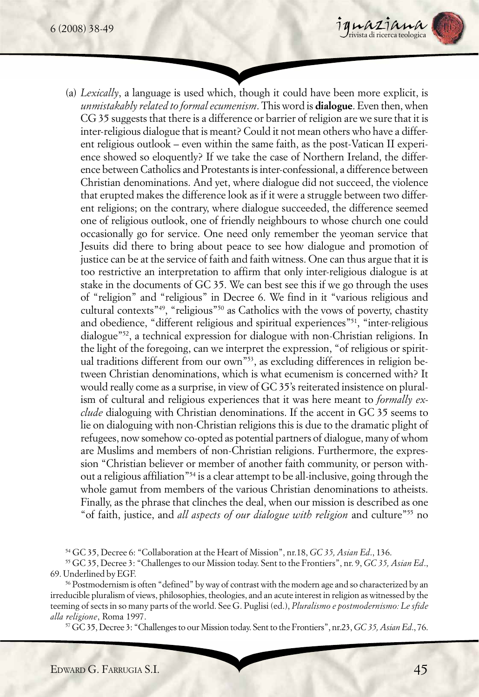

(a) *Lexically*, a language is used which, though it could have been more explicit, is *unmistakably related to formal ecumenism*. This word is **dialogue**. Even then, when CG 35 suggests that there is a difference or barrier of religion are we sure that it is inter-religious dialogue that is meant? Could it not mean others who have a different religious outlook – even within the same faith, as the post-Vatican II experience showed so eloquently? If we take the case of Northern Ireland, the difference between Catholics and Protestants is inter-confessional, a difference between Christian denominations. And yet, where dialogue did not succeed, the violence that erupted makes the difference look as if it were a struggle between two different religions; on the contrary, where dialogue succeeded, the difference seemed one of religious outlook, one of friendly neighbours to whose church one could occasionally go for service. One need only remember the yeoman service that Jesuits did there to bring about peace to see how dialogue and promotion of justice can be at the service of faith and faith witness. One can thus argue that it is too restrictive an interpretation to affirm that only inter-religious dialogue is at stake in the documents of GC 35. We can best see this if we go through the uses of "religion" and "religious" in Decree 6. We find in it "various religious and cultural contexts"49, "religious"50 as Catholics with the vows of poverty, chastity and obedience, "different religious and spiritual experiences"<sup>51</sup>, "inter-religious dialogue"52, a technical expression for dialogue with non-Christian religions. In the light of the foregoing, can we interpret the expression, "of religious or spiritual traditions different from our own"53, as excluding differences in religion between Christian denominations, which is what ecumenism is concerned with? It would really come as a surprise, in view of GC 35's reiterated insistence on pluralism of cultural and religious experiences that it was here meant to *formally exclude* dialoguing with Christian denominations. If the accent in GC 35 seems to lie on dialoguing with non-Christian religions this is due to the dramatic plight of refugees, now somehow co-opted as potential partners of dialogue, many of whom are Muslims and members of non-Christian religions. Furthermore, the expression "Christian believer or member of another faith community, or person without a religious affiliation"54 is a clear attempt to be all-inclusive, going through the whole gamut from members of the various Christian denominations to atheists. Finally, as the phrase that clinches the deal, when our mission is described as one "of faith, justice, and *all aspects of our dialogue with religion* and culture"55 no

54 GC 35, Decree 6: "Collaboration at the Heart of Mission", nr.18, *GC 35, Asian Ed*., 136.

55 GC 35, Decree 3: "Challenges to our Mission today. Sent to the Frontiers", nr. 9, *GC 35, Asian Ed*., 69. Underlined by EGF.

56 Postmodernism is often "defined" by way of contrast with the modern age and so characterized by an irreducible pluralism of views, philosophies, theologies, and an acute interest in religion as witnessed by the teeming of sects in so many parts of the world. See G. Puglisi (ed.), *Pluralismo e postmodernismo: Le sfide alla religione*, Roma 1997.

57 GC 35, Decree 3: "Challenges to our Mission today. Sent to the Frontiers", nr.23, *GC 35, Asian Ed*., 76.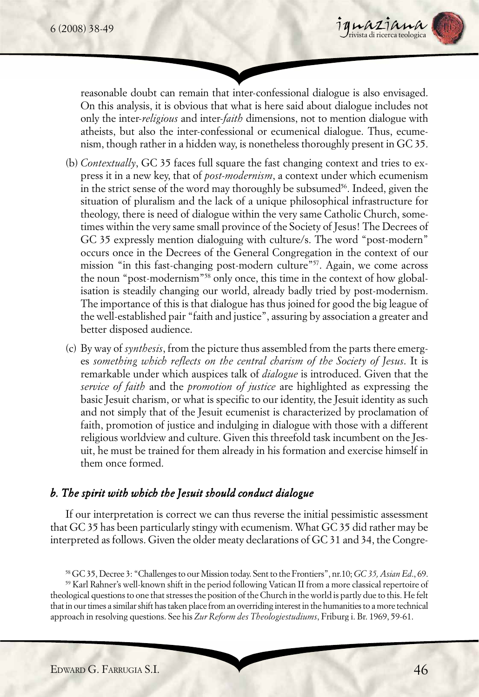

reasonable doubt can remain that inter-confessional dialogue is also envisaged. On this analysis, it is obvious that what is here said about dialogue includes not only the inter-*religious* and inter-*faith* dimensions, not to mention dialogue with atheists, but also the inter-confessional or ecumenical dialogue. Thus, ecumenism, though rather in a hidden way, is nonetheless thoroughly present in GC 35.

- (b) *Contextually*, GC 35 faces full square the fast changing context and tries to express it in a new key, that of *post-modernism*, a context under which ecumenism in the strict sense of the word may thoroughly be subsumed<sup>56</sup>. Indeed, given the situation of pluralism and the lack of a unique philosophical infrastructure for theology, there is need of dialogue within the very same Catholic Church, sometimes within the very same small province of the Society of Jesus! The Decrees of GC 35 expressly mention dialoguing with culture/s. The word "post-modern" occurs once in the Decrees of the General Congregation in the context of our mission "in this fast-changing post-modern culture"<sup>57</sup>. Again, we come across the noun "post-modernism"58 only once, this time in the context of how globalisation is steadily changing our world, already badly tried by post-modernism. The importance of this is that dialogue has thus joined for good the big league of the well-established pair "faith and justice", assuring by association a greater and better disposed audience.
- (c) By way of *synthesis*, from the picture thus assembled from the parts there emerges *something which reflects on the central charism of the Society of Jesus*. It is remarkable under which auspices talk of *dialogue* is introduced. Given that the *service of faith* and the *promotion of justice* are highlighted as expressing the basic Jesuit charism, or what is specific to our identity, the Jesuit identity as such and not simply that of the Jesuit ecumenist is characterized by proclamation of faith, promotion of justice and indulging in dialogue with those with a different religious worldview and culture. Given this threefold task incumbent on the Jesuit, he must be trained for them already in his formation and exercise himself in them once formed.

### *b. The spirit with which the Jesuit should conduct dialogue*

If our interpretation is correct we can thus reverse the initial pessimistic assessment that GC 35 has been particularly stingy with ecumenism. What GC 35 did rather may be interpreted as follows. Given the older meaty declarations of GC 31 and 34, the Congre-

<sup>58</sup> GC 35, Decree 3: "Challenges to our Mission today. Sent to the Frontiers", nr.10; *GC 35, Asian Ed*., 69.

<sup>59</sup> Karl Rahner's well-known shift in the period following Vatican II from a more classical repertoire of theological questions to one that stresses the position of the Church in the world is partly due to this. He felt that in our times a similar shift has taken place from an overriding interest in the humanities to a more technical approach in resolving questions. See his *Zur Reform des Theologiestudiums*, Friburg i. Br. 1969, 59-61.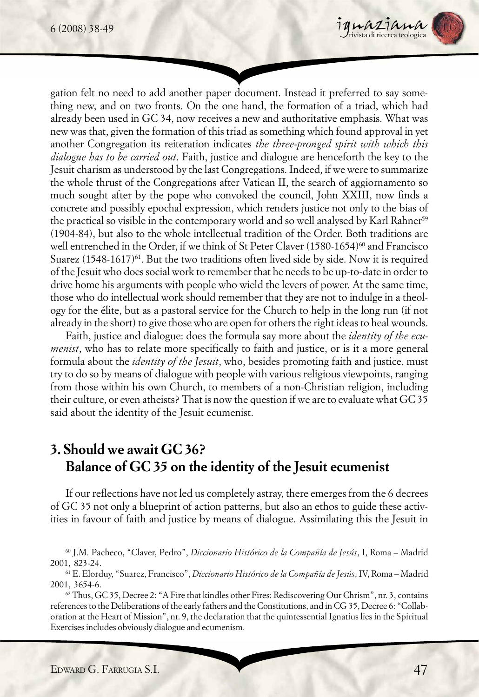

gation felt no need to add another paper document. Instead it preferred to say something new, and on two fronts. On the one hand, the formation of a triad, which had already been used in GC 34, now receives a new and authoritative emphasis. What was new was that, given the formation of this triad as something which found approval in yet another Congregation its reiteration indicates *the three-pronged spirit with which this dialogue has to be carried out*. Faith, justice and dialogue are henceforth the key to the Jesuit charism as understood by the last Congregations. Indeed, if we were to summarize the whole thrust of the Congregations after Vatican II, the search of aggiornamento so much sought after by the pope who convoked the council, John XXIII, now finds a concrete and possibly epochal expression, which renders justice not only to the bias of the practical so visible in the contemporary world and so well analysed by Karl Rahner<sup>59</sup> (1904-84), but also to the whole intellectual tradition of the Order. Both traditions are well entrenched in the Order, if we think of St Peter Claver (1580-1654)<sup>60</sup> and Francisco Suarez  $(1548-1617)^{61}$ . But the two traditions often lived side by side. Now it is required of the Jesuit who does social work to remember that he needs to be up-to-date in order to drive home his arguments with people who wield the levers of power. At the same time, those who do intellectual work should remember that they are not to indulge in a theology for the élite, but as a pastoral service for the Church to help in the long run (if not already in the short) to give those who are open for others the right ideas to heal wounds.

Faith, justice and dialogue: does the formula say more about the *identity of the ecumenist*, who has to relate more specifically to faith and justice, or is it a more general formula about the *identity of the Jesuit*, who, besides promoting faith and justice, must try to do so by means of dialogue with people with various religious viewpoints, ranging from those within his own Church, to members of a non-Christian religion, including their culture, or even atheists? That is now the question if we are to evaluate what GC 35 said about the identity of the Jesuit ecumenist.

## **3. Should we await GC 36? Balance of GC 35 on the identity of the Jesuit ecumenist**

If our reflections have not led us completely astray, there emerges from the 6 decrees of GC 35 not only a blueprint of action patterns, but also an ethos to guide these activities in favour of faith and justice by means of dialogue. Assimilating this the Jesuit in

60 J.M. Pacheco, "Claver, Pedro", *Diccionario Histórico de la Compañía de Jesús*, I, Roma – Madrid 2001, 823-24.

61 E. Elorduy, "Suarez, Francisco", *Diccionario Histórico de la Compañía de Jesús*, IV, Roma – Madrid 2001, 3654-6.

 $62$  Thus, GC 35, Decree 2: "A Fire that kindles other Fires: Rediscovering Our Chrism", nr. 3, contains references to the Deliberations of the early fathers and the Constitutions, and in CG 35, Decree 6: "Collaboration at the Heart of Mission", nr. 9, the declaration that the quintessential Ignatius lies in the Spiritual Exercises includes obviously dialogue and ecumenism.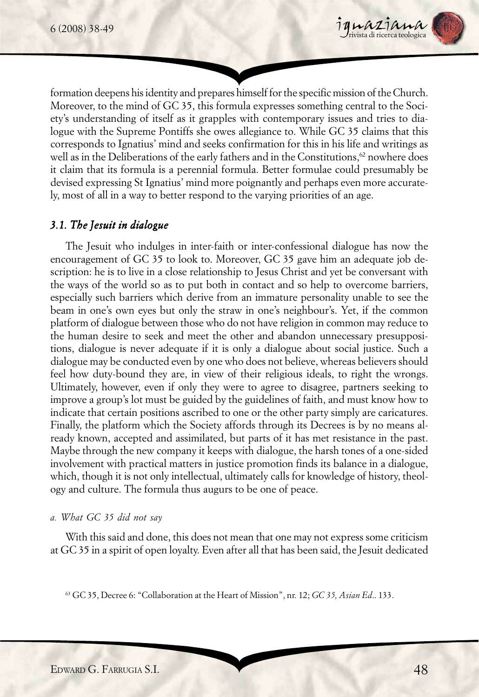

formation deepens his identity and prepares himself for the specific mission of the Church. Moreover, to the mind of GC 35, this formula expresses something central to the Society's understanding of itself as it grapples with contemporary issues and tries to dialogue with the Supreme Pontiffs she owes allegiance to. While GC 35 claims that this corresponds to Ignatius' mind and seeks confirmation for this in his life and writings as well as in the Deliberations of the early fathers and in the Constitutions,  $62$  nowhere does it claim that its formula is a perennial formula. Better formulae could presumably be devised expressing St Ignatius' mind more poignantly and perhaps even more accurately, most of all in a way to better respond to the varying priorities of an age.

#### *3.1. The Jesuit in dialogue*

The Jesuit who indulges in inter-faith or inter-confessional dialogue has now the encouragement of GC 35 to look to. Moreover, GC 35 gave him an adequate job description: he is to live in a close relationship to Jesus Christ and yet be conversant with the ways of the world so as to put both in contact and so help to overcome barriers, especially such barriers which derive from an immature personality unable to see the beam in one's own eyes but only the straw in one's neighbour's. Yet, if the common platform of dialogue between those who do not have religion in common may reduce to the human desire to seek and meet the other and abandon unnecessary presuppositions, dialogue is never adequate if it is only a dialogue about social justice. Such a dialogue may be conducted even by one who does not believe, whereas believers should feel how duty-bound they are, in view of their religious ideals, to right the wrongs. Ultimately, however, even if only they were to agree to disagree, partners seeking to improve a group's lot must be guided by the guidelines of faith, and must know how to indicate that certain positions ascribed to one or the other party simply are caricatures. Finally, the platform which the Society affords through its Decrees is by no means already known, accepted and assimilated, but parts of it has met resistance in the past. Maybe through the new company it keeps with dialogue, the harsh tones of a one-sided involvement with practical matters in justice promotion finds its balance in a dialogue, which, though it is not only intellectual, ultimately calls for knowledge of history, theology and culture. The formula thus augurs to be one of peace.

#### *a. What GC 35 did not say*

With this said and done, this does not mean that one may not express some criticism at GC 35 in a spirit of open loyalty. Even after all that has been said, the Jesuit dedicated

63 GC 35, Decree 6: "Collaboration at the Heart of Mission", nr. 12; *GC 35, Asian Ed*.. 133.